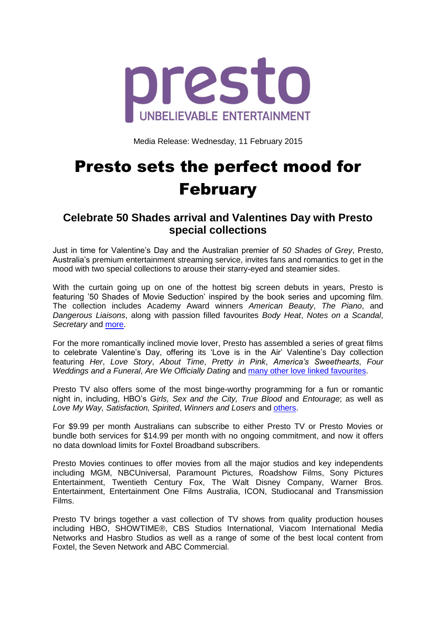

Media Release: Wednesday, 11 February 2015

## Presto sets the perfect mood for February

## **Celebrate 50 Shades arrival and Valentines Day with Presto special collections**

Just in time for Valentine's Day and the Australian premier of *50 Shades of Grey*, Presto, Australia's premium entertainment streaming service, invites fans and romantics to get in the mood with two special collections to arouse their starry-eyed and steamier sides.

With the curtain going up on one of the hottest big screen debuts in years, Presto is featuring '50 Shades of Movie Seduction' inspired by the book series and upcoming film. The collection includes Academy Award winners *American Beauty*, *The Piano*, and *Dangerous Liaisons*, along with passion filled favourites *Body Heat*, *Notes on a Scandal*, *Secretary* and [more.](https://www.presto.com.au/movies/50-shades-of-movie-seduction)

For the more romantically inclined movie lover, Presto has assembled a series of great films to celebrate Valentine's Day, offering its 'Love is in the Air' Valentine's Day collection featuring *Her*, *Love Story*, *About Time*, *Pretty in Pink*, *America's Sweethearts*, *Four Weddings and a Funeral*, *Are We Officially Dating* and [many other love linked favourites.](https://www.presto.com.au/movies/love-is-in-the-air-for-valentines-day)

Presto TV also offers some of the most binge-worthy programming for a fun or romantic night in, including, HBO's *Girls, Sex and the City, True Blood* and *Entourage*; as well as *Love My Way, Satisfaction, Spirited*, *Winners and Losers* and [others.](https://www.presto.com.au/tv/a-z-2)

For \$9.99 per month Australians can subscribe to either Presto TV or Presto Movies or bundle both services for \$14.99 per month with no ongoing commitment, and now it offers no data download limits for Foxtel Broadband subscribers.

Presto Movies continues to offer movies from all the major studios and key independents including MGM, NBCUniversal, Paramount Pictures, Roadshow Films, Sony Pictures Entertainment, Twentieth Century Fox, The Walt Disney Company, Warner Bros. Entertainment, Entertainment One Films Australia, ICON, Studiocanal and Transmission Films.

Presto TV brings together a vast collection of TV shows from quality production houses including HBO, SHOWTIME®, CBS Studios International, Viacom International Media Networks and Hasbro Studios as well as a range of some of the best local content from Foxtel, the Seven Network and ABC Commercial.